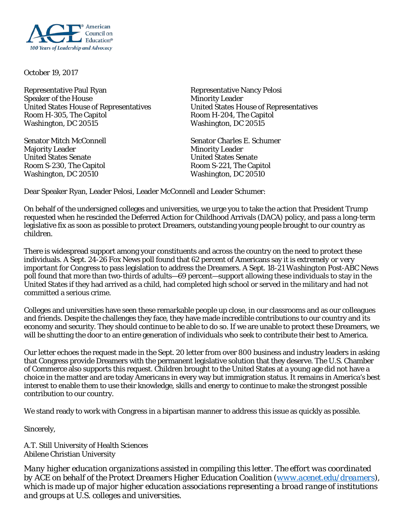

October 19, 2017

Representative Paul Ryan Representative Nancy Pelosi Speaker of the House<br>
United States House of Representatives<br>
United States House of Representatives<br>
United States Ho Room H-305, The Capitol **Room H-204**, The Capitol Washington, DC 20515 Washington, DC 20515

Majority Leader Minority Leader United States Senate United States Senate Room S-230, The Capitol **Room S-221**, The Capitol Washington, DC 20510 Washington, DC 20510

United States House of Representatives

Senator Mitch McConnell Senator Charles E. Schumer

Dear Speaker Ryan, Leader Pelosi, Leader McConnell and Leader Schumer:

On behalf of the undersigned colleges and universities, we urge you to take the action that President Trump requested when he rescinded the Deferred Action for Childhood Arrivals (DACA) policy, and pass a long-term legislative fix as soon as possible to protect Dreamers, outstanding young people brought to our country as children.

There is widespread support among your constituents and across the country on the need to protect these individuals. A Sept. 24-26 Fox News poll found that 62 percent of Americans say it is *extremely or very important* for Congress to pass legislation to address the Dreamers. A Sept. 18-21 *Washington Post*-ABC News poll found that more than two-thirds of adults—69 percent—support allowing these individuals to stay in the United States if they had arrived as a child, had completed high school or served in the military and had not committed a serious crime.

Colleges and universities have seen these remarkable people up close, in our classrooms and as our colleagues and friends. Despite the challenges they face, they have made incredible contributions to our country and its economy and security. They should continue to be able to do so. If we are unable to protect these Dreamers, we will be shutting the door to an entire generation of individuals who seek to contribute their best to America.

Our letter echoes the request made in the Sept. 20 letter from over 800 business and industry leaders in asking that Congress provide Dreamers with the permanent legislative solution that they deserve. The U.S. Chamber of Commerce also supports this request. Children brought to the United States at a young age did not have a choice in the matter and are today Americans in every way but immigration status. It remains in America's best interest to enable them to use their knowledge, skills and energy to continue to make the strongest possible contribution to our country.

We stand ready to work with Congress in a bipartisan manner to address this issue as quickly as possible.

Sincerely,

A.T. Still University of Health Sciences Abilene Christian University

*Many higher education organizations assisted in compiling this letter. The effort was coordinated by ACE on behalf of the Protect Dreamers Higher Education Coalition [\(www.acenet.edu/dreamers\)](http://www.acenet.edu/dreamers), which is made up of major higher education associations representing a broad range of institutions and groups at U.S. colleges and universities.*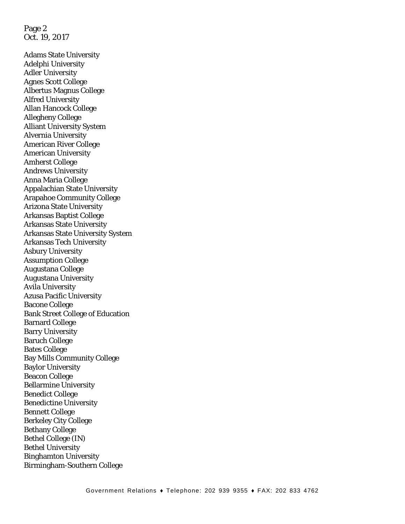Page 2 Oct. 19, 2017

Adams State University Adelphi University Adler University Agnes Scott College Albertus Magnus College Alfred University Allan Hancock College Allegheny College Alliant University System Alvernia University American River College American University Amherst College Andrews University Anna Maria College Appalachian State University Arapahoe Community College Arizona State University Arkansas Baptist College Arkansas State University Arkansas State University System Arkansas Tech University Asbury University Assumption College Augustana College Augustana University Avila University Azusa Pacific University Bacone College Bank Street College of Education Barnard College Barry University Baruch College Bates College Bay Mills Community College Baylor University Beacon College Bellarmine University Benedict College Benedictine University Bennett College Berkeley City College Bethany College Bethel College (IN) Bethel University Binghamton University Birmingham-Southern College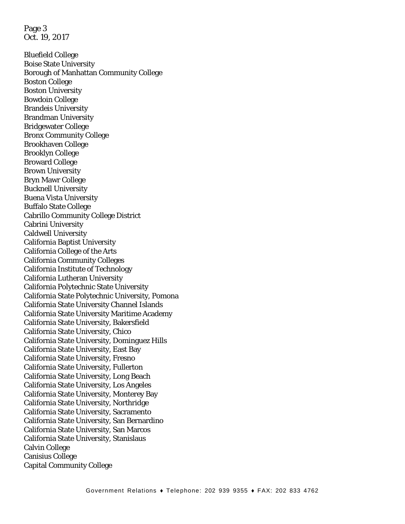Page 3 Oct. 19, 2017

Bluefield College Boise State University Borough of Manhattan Community College Boston College Boston University Bowdoin College Brandeis University Brandman University Bridgewater College Bronx Community College Brookhaven College Brooklyn College Broward College Brown University Bryn Mawr College Bucknell University Buena Vista University Buffalo State College Cabrillo Community College District Cabrini University Caldwell University California Baptist University California College of the Arts California Community Colleges California Institute of Technology California Lutheran University California Polytechnic State University California State Polytechnic University, Pomona California State University Channel Islands California State University Maritime Academy California State University, Bakersfield California State University, Chico California State University, Dominguez Hills California State University, East Bay California State University, Fresno California State University, Fullerton California State University, Long Beach California State University, Los Angeles California State University, Monterey Bay California State University, Northridge California State University, Sacramento California State University, San Bernardino California State University, San Marcos California State University, Stanislaus Calvin College Canisius College Capital Community College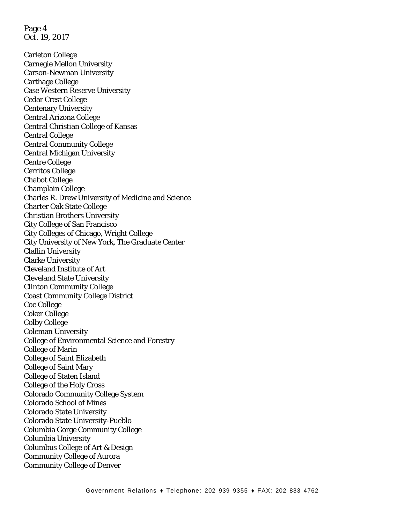Page 4 Oct. 19, 2017

Carleton College Carnegie Mellon University Carson-Newman University Carthage College Case Western Reserve University Cedar Crest College Centenary University Central Arizona College Central Christian College of Kansas Central College Central Community College Central Michigan University Centre College Cerritos College Chabot College Champlain College Charles R. Drew University of Medicine and Science Charter Oak State College Christian Brothers University City College of San Francisco City Colleges of Chicago, Wright College City University of New York, The Graduate Center Claflin University Clarke University Cleveland Institute of Art Cleveland State University Clinton Community College Coast Community College District Coe College Coker College Colby College Coleman University College of Environmental Science and Forestry College of Marin College of Saint Elizabeth College of Saint Mary College of Staten Island College of the Holy Cross Colorado Community College System Colorado School of Mines Colorado State University Colorado State University-Pueblo Columbia Gorge Community College Columbia University Columbus College of Art & Design Community College of Aurora Community College of Denver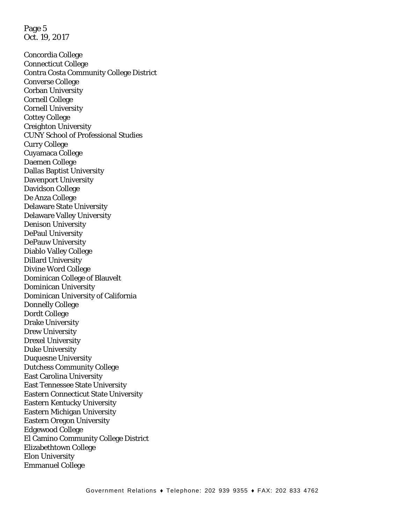Page 5 Oct. 19, 2017

Concordia College Connecticut College Contra Costa Community College District Converse College Corban University Cornell College Cornell University Cottey College Creighton University CUNY School of Professional Studies Curry College Cuyamaca College Daemen College Dallas Baptist University Davenport University Davidson College De Anza College Delaware State University Delaware Valley University Denison University DePaul University DePauw University Diablo Valley College Dillard University Divine Word College Dominican College of Blauvelt Dominican University Dominican University of California Donnelly College Dordt College Drake University Drew University Drexel University Duke University Duquesne University Dutchess Community College East Carolina University East Tennessee State University Eastern Connecticut State University Eastern Kentucky University Eastern Michigan University Eastern Oregon University Edgewood College El Camino Community College District Elizabethtown College Elon University Emmanuel College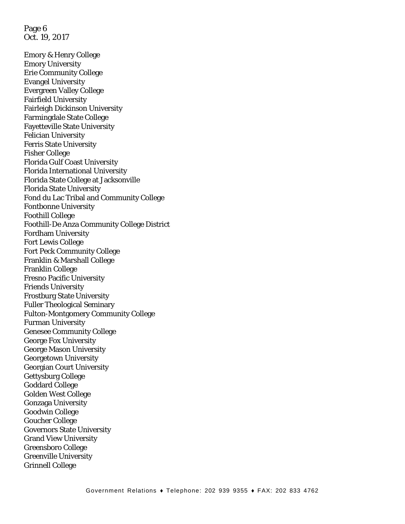Page 6 Oct. 19, 2017

Emory & Henry College Emory University Erie Community College Evangel University Evergreen Valley College Fairfield University Fairleigh Dickinson University Farmingdale State College Fayetteville State University Felician University Ferris State University Fisher College Florida Gulf Coast University Florida International University Florida State College at Jacksonville Florida State University Fond du Lac Tribal and Community College Fontbonne University Foothill College Foothill-De Anza Community College District Fordham University Fort Lewis College Fort Peck Community College Franklin & Marshall College Franklin College Fresno Pacific University Friends University Frostburg State University Fuller Theological Seminary Fulton-Montgomery Community College Furman University Genesee Community College George Fox University George Mason University Georgetown University Georgian Court University Gettysburg College Goddard College Golden West College Gonzaga University Goodwin College Goucher College Governors State University Grand View University Greensboro College Greenville University Grinnell College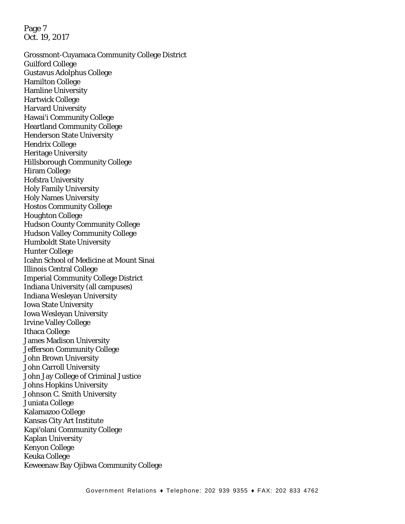Page 7 Oct. 19, 2017

Grossmont-Cuyamaca Community College District Guilford College Gustavus Adolphus College Hamilton College Hamline University Hartwick College Harvard University Hawai'i Community College Heartland Community College Henderson State University Hendrix College Heritage University Hillsborough Community College Hiram College Hofstra University Holy Family University Holy Names University Hostos Community College Houghton College Hudson County Community College Hudson Valley Community College Humboldt State University Hunter College Icahn School of Medicine at Mount Sinai Illinois Central College Imperial Community College District Indiana University (all campuses) Indiana Wesleyan University Iowa State University Iowa Wesleyan University Irvine Valley College Ithaca College James Madison University Jefferson Community College John Brown University John Carroll University John Jay College of Criminal Justice Johns Hopkins University Johnson C. Smith University Juniata College Kalamazoo College Kansas City Art Institute Kapi'olani Community College Kaplan University Kenyon College Keuka College Keweenaw Bay Ojibwa Community College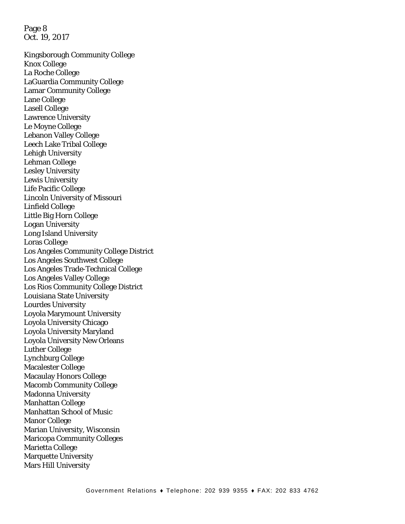Page 8 Oct. 19, 2017

Kingsborough Community College Knox College La Roche College LaGuardia Community College Lamar Community College Lane College Lasell College Lawrence University Le Moyne College Lebanon Valley College Leech Lake Tribal College Lehigh University Lehman College Lesley University Lewis University Life Pacific College Lincoln University of Missouri Linfield College Little Big Horn College Logan University Long Island University Loras College Los Angeles Community College District Los Angeles Southwest College Los Angeles Trade-Technical College Los Angeles Valley College Los Rios Community College District Louisiana State University Lourdes University Loyola Marymount University Loyola University Chicago Loyola University Maryland Loyola University New Orleans Luther College Lynchburg College Macalester College Macaulay Honors College Macomb Community College Madonna University Manhattan College Manhattan School of Music Manor College Marian University, Wisconsin Maricopa Community Colleges Marietta College Marquette University Mars Hill University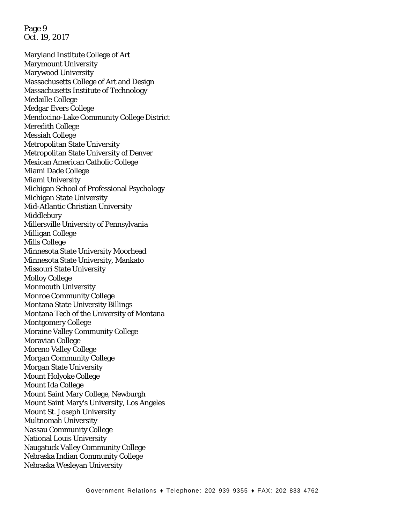Page 9 Oct. 19, 2017

Maryland Institute College of Art Marymount University Marywood University Massachusetts College of Art and Design Massachusetts Institute of Technology Medaille College Medgar Evers College Mendocino-Lake Community College District Meredith College Messiah College Metropolitan State University Metropolitan State University of Denver Mexican American Catholic College Miami Dade College Miami University Michigan School of Professional Psychology Michigan State University Mid-Atlantic Christian University Middlebury Millersville University of Pennsylvania Milligan College Mills College Minnesota State University Moorhead Minnesota State University, Mankato Missouri State University Molloy College Monmouth University Monroe Community College Montana State University Billings Montana Tech of the University of Montana Montgomery College Moraine Valley Community College Moravian College Moreno Valley College Morgan Community College Morgan State University Mount Holyoke College Mount Ida College Mount Saint Mary College, Newburgh Mount Saint Mary's University, Los Angeles Mount St. Joseph University Multnomah University Nassau Community College National Louis University Naugatuck Valley Community College Nebraska Indian Community College Nebraska Wesleyan University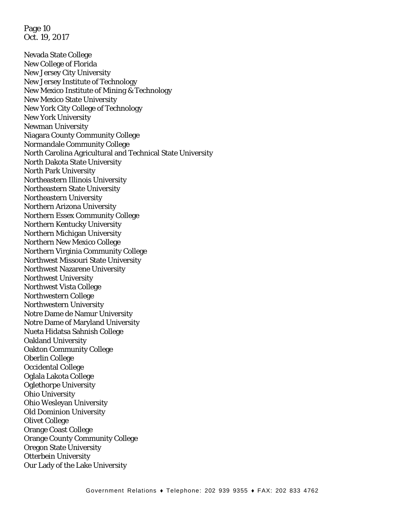Page 10 Oct. 19, 2017

Nevada State College New College of Florida New Jersey City University New Jersey Institute of Technology New Mexico Institute of Mining & Technology New Mexico State University New York City College of Technology New York University Newman University Niagara County Community College Normandale Community College North Carolina Agricultural and Technical State University North Dakota State University North Park University Northeastern Illinois University Northeastern State University Northeastern University Northern Arizona University Northern Essex Community College Northern Kentucky University Northern Michigan University Northern New Mexico College Northern Virginia Community College Northwest Missouri State University Northwest Nazarene University Northwest University Northwest Vista College Northwestern College Northwestern University Notre Dame de Namur University Notre Dame of Maryland University Nueta Hidatsa Sahnish College Oakland University Oakton Community College Oberlin College Occidental College Oglala Lakota College Oglethorpe University Ohio University Ohio Wesleyan University Old Dominion University Olivet College Orange Coast College Orange County Community College Oregon State University Otterbein University Our Lady of the Lake University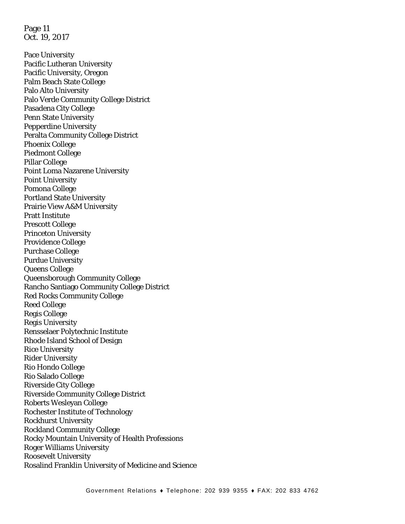Page 11 Oct. 19, 2017

Pace University Pacific Lutheran University Pacific University, Oregon Palm Beach State College Palo Alto University Palo Verde Community College District Pasadena City College Penn State University Pepperdine University Peralta Community College District Phoenix College Piedmont College Pillar College Point Loma Nazarene University Point University Pomona College Portland State University Prairie View A&M University Pratt Institute Prescott College Princeton University Providence College Purchase College Purdue University Queens College Queensborough Community College Rancho Santiago Community College District Red Rocks Community College Reed College Regis College Regis University Rensselaer Polytechnic Institute Rhode Island School of Design Rice University Rider University Rio Hondo College Rio Salado College Riverside City College Riverside Community College District Roberts Wesleyan College Rochester Institute of Technology Rockhurst University Rockland Community College Rocky Mountain University of Health Professions Roger Williams University Roosevelt University Rosalind Franklin University of Medicine and Science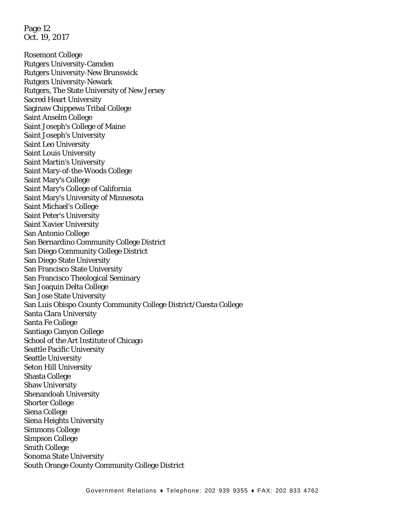Page 12 Oct. 19, 2017

Rosemont College Rutgers University-Camden Rutgers University-New Brunswick Rutgers University-Newark Rutgers, The State University of New Jersey Sacred Heart University Saginaw Chippewa Tribal College Saint Anselm College Saint Joseph's College of Maine Saint Joseph's University Saint Leo University Saint Louis University Saint Martin's University Saint Mary-of-the-Woods College Saint Mary's College Saint Mary's College of California Saint Mary's University of Minnesota Saint Michael's College Saint Peter's University Saint Xavier University San Antonio College San Bernardino Community College District San Diego Community College District San Diego State University San Francisco State University San Francisco Theological Seminary San Joaquin Delta College San Jose State University San Luis Obispo County Community College District/Cuesta College Santa Clara University Santa Fe College Santiago Canyon College School of the Art Institute of Chicago Seattle Pacific University Seattle University Seton Hill University Shasta College Shaw University Shenandoah University Shorter College Siena College Siena Heights University Simmons College Simpson College Smith College Sonoma State University South Orange County Community College District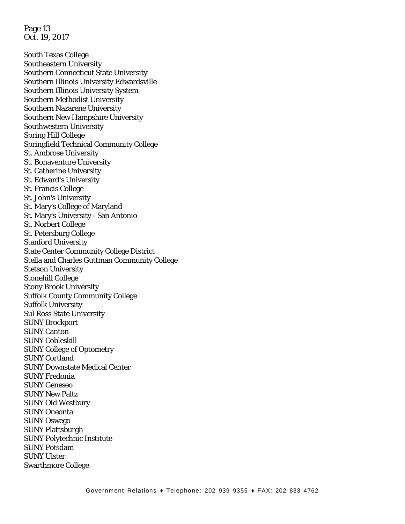Page 13 Oct. 19, 2017

South Texas College Southeastern University Southern Connecticut State University Southern Illinois University Edwardsville Southern Illinois University System Southern Methodist University Southern Nazarene University Southern New Hampshire University Southwestern University Spring Hill College Springfield Technical Community College St. Ambrose University St. Bonaventure University St. Catherine University St. Edward's University St. Francis College St. John's University St. Mary's College of Maryland St. Mary's University - San Antonio St. Norbert College St. Petersburg College Stanford University State Center Community College District Stella and Charles Guttman Community College Stetson University Stonehill College Stony Brook University Suffolk County Community College Suffolk University Sul Ross State University SUNY Brockport SUNY Canton SUNY Cobleskill SUNY College of Optometry SUNY Cortland SUNY Downstate Medical Center SUNY Fredonia SUNY Geneseo SUNY New Paltz SUNY Old Westbury SUNY Oneonta SUNY Oswego SUNY Plattsburgh SUNY Polytechnic Institute SUNY Potsdam SUNY Ulster Swarthmore College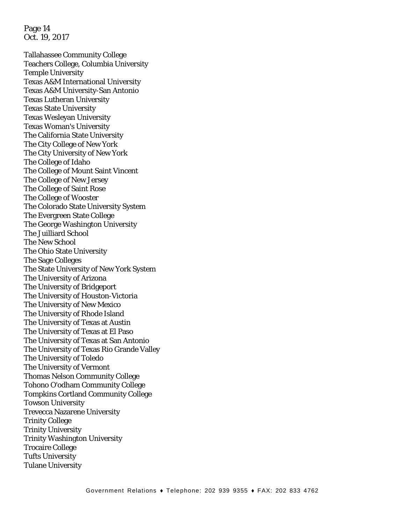Page 14 Oct. 19, 2017

Tallahassee Community College Teachers College, Columbia University Temple University Texas A&M International University Texas A&M University-San Antonio Texas Lutheran University Texas State University Texas Wesleyan University Texas Woman's University The California State University The City College of New York The City University of New York The College of Idaho The College of Mount Saint Vincent The College of New Jersey The College of Saint Rose The College of Wooster The Colorado State University System The Evergreen State College The George Washington University The Juilliard School The New School The Ohio State University The Sage Colleges The State University of New York System The University of Arizona The University of Bridgeport The University of Houston-Victoria The University of New Mexico The University of Rhode Island The University of Texas at Austin The University of Texas at El Paso The University of Texas at San Antonio The University of Texas Rio Grande Valley The University of Toledo The University of Vermont Thomas Nelson Community College Tohono O'odham Community College Tompkins Cortland Community College Towson University Trevecca Nazarene University Trinity College Trinity University Trinity Washington University Trocaire College Tufts University Tulane University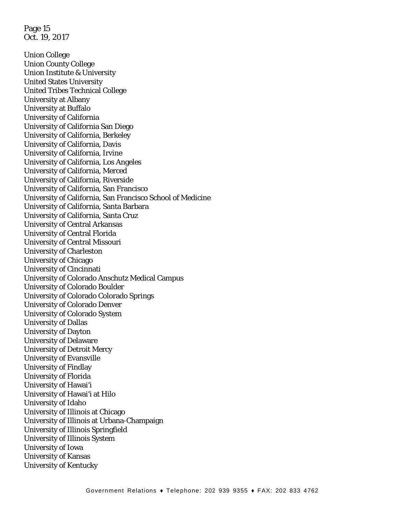Page 15 Oct. 19, 2017

Union College Union County College Union Institute & University United States University United Tribes Technical College University at Albany University at Buffalo University of California University of California San Diego University of California, Berkeley University of California, Davis University of California, Irvine University of California, Los Angeles University of California, Merced University of California, Riverside University of California, San Francisco University of California, San Francisco School of Medicine University of California, Santa Barbara University of California, Santa Cruz University of Central Arkansas University of Central Florida University of Central Missouri University of Charleston University of Chicago University of Cincinnati University of Colorado Anschutz Medical Campus University of Colorado Boulder University of Colorado Colorado Springs University of Colorado Denver University of Colorado System University of Dallas University of Dayton University of Delaware University of Detroit Mercy University of Evansville University of Findlay University of Florida University of Hawai'i University of Hawai'i at Hilo University of Idaho University of Illinois at Chicago University of Illinois at Urbana-Champaign University of Illinois Springfield University of Illinois System University of Iowa University of Kansas University of Kentucky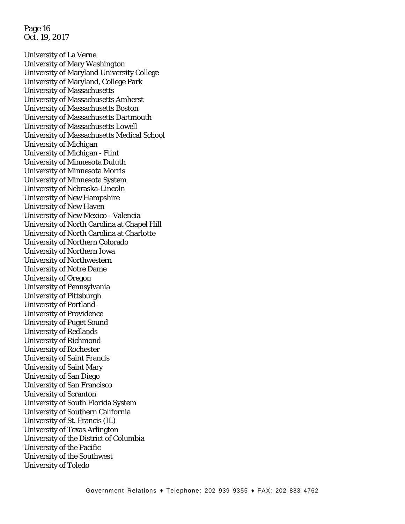Page 16 Oct. 19, 2017

University of La Verne University of Mary Washington University of Maryland University College University of Maryland, College Park University of Massachusetts University of Massachusetts Amherst University of Massachusetts Boston University of Massachusetts Dartmouth University of Massachusetts Lowell University of Massachusetts Medical School University of Michigan University of Michigan - Flint University of Minnesota Duluth University of Minnesota Morris University of Minnesota System University of Nebraska-Lincoln University of New Hampshire University of New Haven University of New Mexico - Valencia University of North Carolina at Chapel Hill University of North Carolina at Charlotte University of Northern Colorado University of Northern Iowa University of Northwestern University of Notre Dame University of Oregon University of Pennsylvania University of Pittsburgh University of Portland University of Providence University of Puget Sound University of Redlands University of Richmond University of Rochester University of Saint Francis University of Saint Mary University of San Diego University of San Francisco University of Scranton University of South Florida System University of Southern California University of St. Francis (IL) University of Texas Arlington University of the District of Columbia University of the Pacific University of the Southwest University of Toledo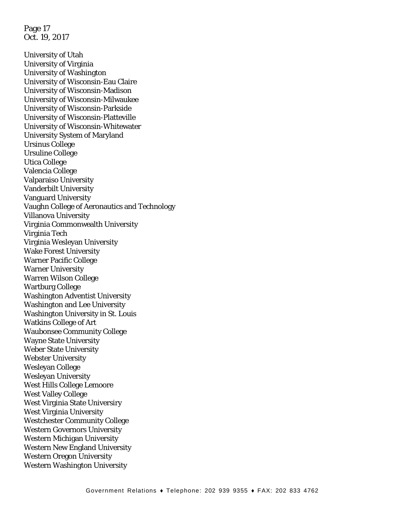Page 17 Oct. 19, 2017

University of Utah University of Virginia University of Washington University of Wisconsin-Eau Claire University of Wisconsin-Madison University of Wisconsin-Milwaukee University of Wisconsin-Parkside University of Wisconsin-Platteville University of Wisconsin-Whitewater University System of Maryland Ursinus College Ursuline College Utica College Valencia College Valparaiso University Vanderbilt University Vanguard University Vaughn College of Aeronautics and Technology Villanova University Virginia Commonwealth University Virginia Tech Virginia Wesleyan University Wake Forest University Warner Pacific College Warner University Warren Wilson College Wartburg College Washington Adventist University Washington and Lee University Washington University in St. Louis Watkins College of Art Waubonsee Community College Wayne State University Weber State University Webster University Wesleyan College Wesleyan University West Hills College Lemoore West Valley College West Virginia State Universiry West Virginia University Westchester Community College Western Governors University Western Michigan University Western New England University Western Oregon University Western Washington University